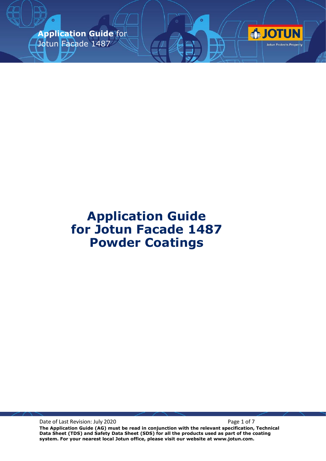**Application Guide** for Jotun Facade 1487



Date of Last Revision: July 2020 **Page 1 of 7** Page 1 of 7

**The Application Guide (AG) must be read in conjunction with the relevant specification, Technical Data Sheet (TDS) and Safety Data Sheet (SDS) for all the products used as part of the coating system. For your nearest local Jotun office, please visit our website at www.jotun.com.**

**OTUN** 

Jotun Protects Property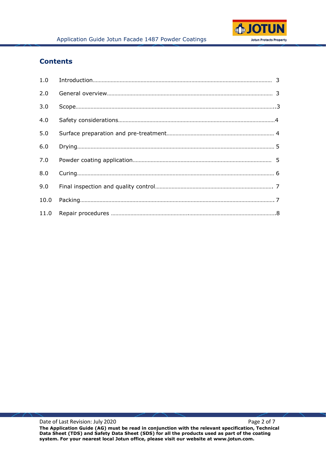

## **Contents**

| 2.0  |  |
|------|--|
| 3.0  |  |
| 4.0  |  |
| 5.0  |  |
| 6.0  |  |
| 7.0  |  |
| 8.0  |  |
| 9.0  |  |
| 10.0 |  |
|      |  |

Date of Last Revision: July 2020 **Page 2 of 7** Page 2 of 7 **The Application Guide (AG) must be read in conjunction with the relevant specification, Technical Data Sheet (TDS) and Safety Data Sheet (SDS) for all the products used as part of the coating system. For your nearest local Jotun office, please visit our website at www.jotun.com.**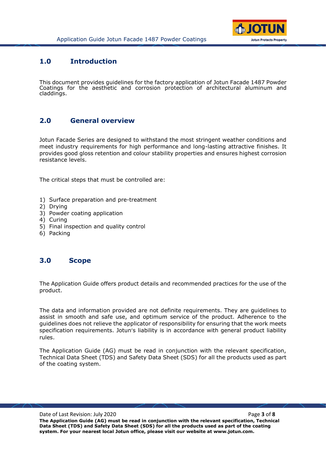

### **1.0 Introduction**

This document provides guidelines for the factory application of Jotun Facade 1487 Powder Coatings for the aesthetic and corrosion protection of architectural aluminum and claddings.

## **2.0 General overview**

Jotun Facade Series are designed to withstand the most stringent weather conditions and meet industry requirements for high performance and long-lasting attractive finishes. It provides good gloss retention and colour stability properties and ensures highest corrosion resistance levels.

The critical steps that must be controlled are:

- 1) Surface preparation and pre-treatment
- 2) Drying
- 3) Powder coating application
- 4) Curing
- 5) Final inspection and quality control
- 6) Packing

### **3.0 Scope**

The Application Guide offers product details and recommended practices for the use of the product.

The data and information provided are not definite requirements. They are guidelines to assist in smooth and safe use, and optimum service of the product. Adherence to the guidelines does not relieve the applicator of responsibility for ensuring that the work meets specification requirements. Jotun's liability is in accordance with general product liability rules.

The Application Guide (AG) must be read in conjunction with the relevant specification, Technical Data Sheet (TDS) and Safety Data Sheet (SDS) for all the products used as part of the coating system.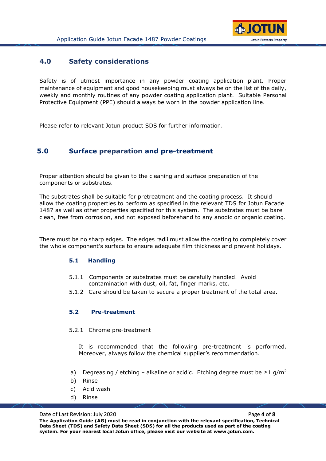

### **4.0 Safety considerations**

Safety is of utmost importance in any powder coating application plant. Proper maintenance of equipment and good housekeeping must always be on the list of the daily, weekly and monthly routines of any powder coating application plant. Suitable Personal Protective Equipment (PPE) should always be worn in the powder application line.

Please refer to relevant Jotun product SDS for further information.

## **5.0 Surface preparation and pre-treatment**

Proper attention should be given to the cleaning and surface preparation of the components or substrates.

The substrates shall be suitable for pretreatment and the coating process. It should allow the coating properties to perform as specified in the relevant TDS for Jotun Facade 1487 as well as other properties specified for this system. The substrates must be bare clean, free from corrosion, and not exposed beforehand to any anodic or organic coating.

There must be no sharp edges. The edges radii must allow the coating to completely cover the whole component's surface to ensure adequate film thickness and prevent holidays.

#### **5.1 Handling**

- 5.1.1 Components or substrates must be carefully handled. Avoid contamination with dust, oil, fat, finger marks, etc.
- 5.1.2 Care should be taken to secure a proper treatment of the total area.

#### **5.2 Pre-treatment**

#### 5.2.1 Chrome pre-treatment

It is recommended that the following pre-treatment is performed. Moreover, always follow the chemical supplier's recommendation.

- a) Degreasing / etching alkaline or acidic. Etching degree must be  $\geq 1$  g/m<sup>2</sup>
- b) Rinse
- c) Acid wash
- d) Rinse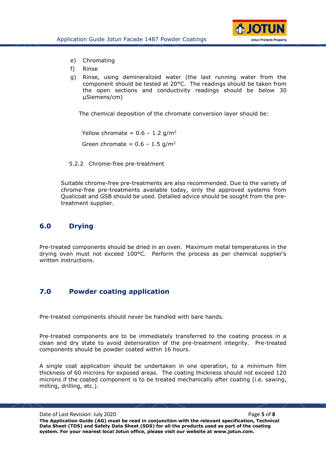

- e) Chromating
- f) Rinse
- g) Rinse, using demineralized water (the last running water from the component should be tested at 20°C. The readings should be taken from the open sections and conductivity readings should be below 30 µSiemens/cm)

The chemical deposition of the chromate conversion layer should be:

Yellow chromate =  $0.6 - 1.2$  g/m<sup>2</sup> Green chromate =  $0.6 - 1.5$  g/m<sup>2</sup>

5.2.2 Chrome-free pre-treatment

Suitable chrome-free pre-treatments are also recommended. Due to the variety of chrome-free pre-treatments available today, only the approved systems from Qualicoat and GSB should be used. Detailed advice should be sought from the pretreatment supplier.

### **6.0 Drying**

Pre-treated components should be dried in an oven. Maximum metal temperatures in the drying oven must not exceed 100°C. Perform the process as per chemical supplier's written instructions.

## **7.0 Powder coating application**

Pre-treated components should never be handled with bare hands.

Pre-treated components are to be immediately transferred to the coating process in a clean and dry state to avoid deterioration of the pre-treatment integrity. Pre-treated components should be powder coated within 16 hours.

A single coat application should be undertaken in one operation, to a minimum film thickness of 60 microns for exposed areas. The coating thickness should not exceed 120 microns if the coated component is to be treated mechanically after coating (i.e. sawing, milling, drilling, etc.).

Date of Last Revision: July 2020 **Page 1 and Allen the Contract Page 1 and Page 5** of **8 Page 5** of **8 The Application Guide (AG) must be read in conjunction with the relevant specification, Technical Data Sheet (TDS) and Safety Data Sheet (SDS) for all the products used as part of the coating system. For your nearest local Jotun office, please visit our website at www.jotun.com.**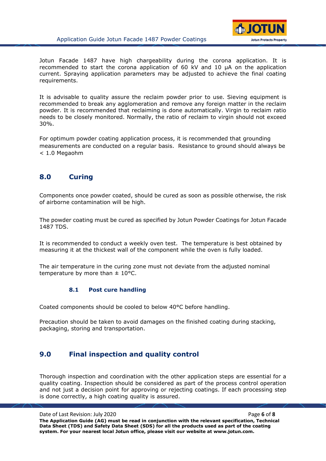

Jotun Facade 1487 have high chargeability during the corona application. It is recommended to start the corona application of 60 kV and 10 µA on the application current. Spraying application parameters may be adjusted to achieve the final coating requirements.

It is advisable to quality assure the reclaim powder prior to use. Sieving equipment is recommended to break any agglomeration and remove any foreign matter in the reclaim powder. It is recommended that reclaiming is done automatically. Virgin to reclaim ratio needs to be closely monitored. Normally, the ratio of reclaim to virgin should not exceed 30%.

For optimum powder coating application process, it is recommended that grounding measurements are conducted on a regular basis. Resistance to ground should always be < 1.0 Megaohm

# **8.0 Curing**

Components once powder coated, should be cured as soon as possible otherwise, the risk of airborne contamination will be high.

The powder coating must be cured as specified by Jotun Powder Coatings for Jotun Facade 1487 TDS.

It is recommended to conduct a weekly oven test. The temperature is best obtained by measuring it at the thickest wall of the component while the oven is fully loaded.

The air temperature in the curing zone must not deviate from the adjusted nominal temperature by more than  $\pm$  10°C.

#### **8.1 Post cure handling**

Coated components should be cooled to below 40°C before handling.

Precaution should be taken to avoid damages on the finished coating during stacking, packaging, storing and transportation.

## **9.0 Final inspection and quality control**

Thorough inspection and coordination with the other application steps are essential for a quality coating. Inspection should be considered as part of the process control operation and not just a decision point for approving or rejecting coatings. If each processing step is done correctly, a high coating quality is assured.

Date of Last Revision: July 2020 **Page 6** of **8 Page 6** of **8 The Application Guide (AG) must be read in conjunction with the relevant specification, Technical Data Sheet (TDS) and Safety Data Sheet (SDS) for all the products used as part of the coating system. For your nearest local Jotun office, please visit our website at www.jotun.com.**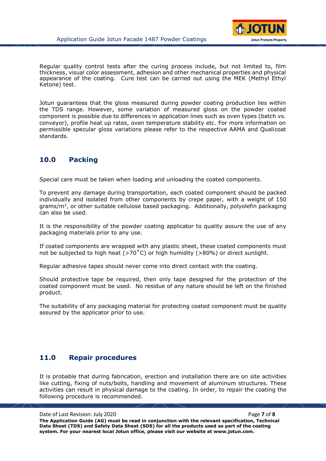

Regular quality control tests after the curing process include, but not limited to, film thickness, visual color assessment, adhesion and other mechanical properties and physical appearance of the coating. Cure test can be carried out using the MEK (Methyl Ethyl Ketone) test.

Jotun guarantees that the gloss measured during powder coating production lies within the TDS range. However, some variation of measured gloss on the powder coated component is possible due to differences in application lines such as oven types (batch vs. conveyor), profile heat up rates, oven temperature stability etc. For more information on permissible specular gloss variations please refer to the respective AAMA and Qualicoat standards.

## **10.0 Packing**

Special care must be taken when loading and unloading the coated components.

To prevent any damage during transportation, each coated component should be packed individually and isolated from other components by crepe paper, with a weight of 150 grams/m<sup>2</sup>, or other suitable cellulose based packaging. Additionally, polyolefin packaging can also be used.

It is the responsibility of the powder coating applicator to quality assure the use of any packaging materials prior to any use.

If coated components are wrapped with any plastic sheet, these coated components must not be subjected to high heat ( $>70^{\circ}$ C) or high humidity ( $>80\%$ ) or direct sunlight.

Regular adhesive tapes should never come into direct contact with the coating.

Should protective tape be required, then only tape designed for the protection of the coated component must be used. No residue of any nature should be left on the finished product.

The suitability of any packaging material for protecting coated component must be quality assured by the applicator prior to use.

## **11.0 Repair procedures**

It is probable that during fabrication, erection and installation there are on site activities like cutting, fixing of nuts/bolts, handling and movement of aluminum structures. These activities can result in physical damage to the coating. In order, to repair the coating the following procedure is recommended.

Date of Last Revision: July 2020 **Page 7** of **8 Page 7** of **8 The Application Guide (AG) must be read in conjunction with the relevant specification, Technical Data Sheet (TDS) and Safety Data Sheet (SDS) for all the products used as part of the coating system. For your nearest local Jotun office, please visit our website at www.jotun.com.**